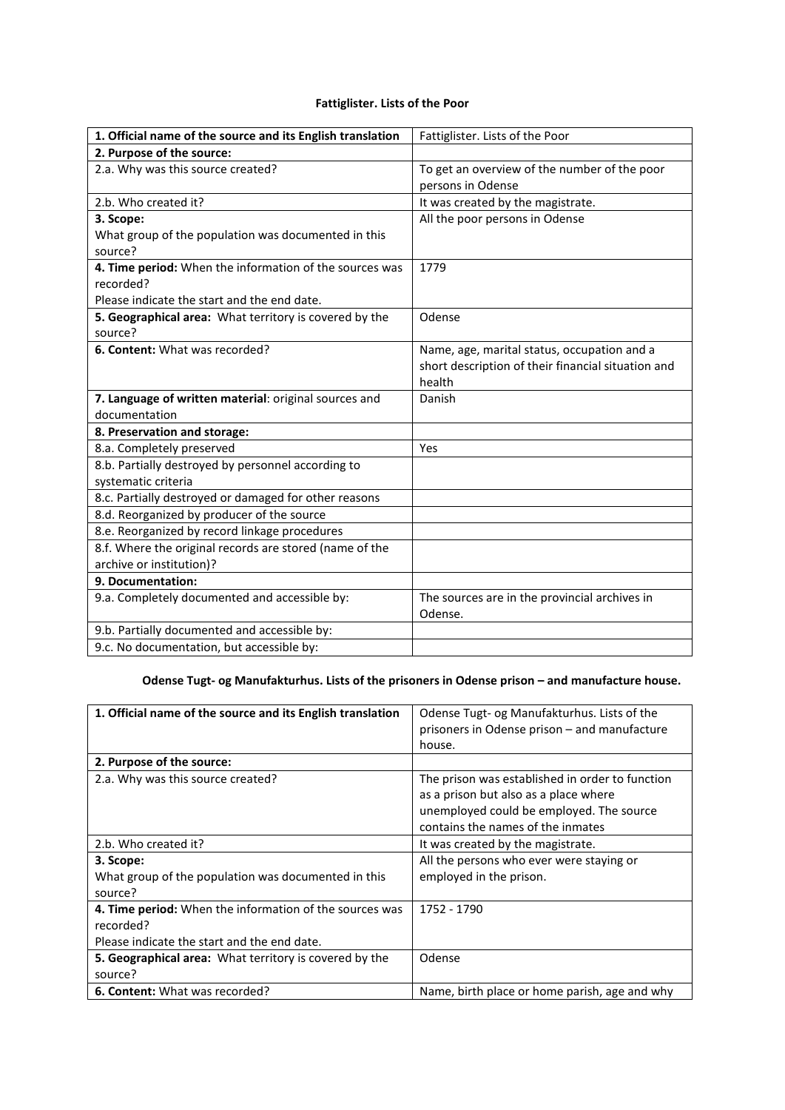## **Fattiglister. Lists of the Poor**

| 1. Official name of the source and its English translation | Fattiglister. Lists of the Poor                    |
|------------------------------------------------------------|----------------------------------------------------|
| 2. Purpose of the source:                                  |                                                    |
| 2.a. Why was this source created?                          | To get an overview of the number of the poor       |
|                                                            | persons in Odense                                  |
| 2.b. Who created it?                                       | It was created by the magistrate.                  |
| 3. Scope:                                                  | All the poor persons in Odense                     |
| What group of the population was documented in this        |                                                    |
| source?                                                    |                                                    |
| 4. Time period: When the information of the sources was    | 1779                                               |
| recorded?                                                  |                                                    |
| Please indicate the start and the end date.                |                                                    |
| 5. Geographical area: What territory is covered by the     | Odense                                             |
| source?                                                    |                                                    |
| 6. Content: What was recorded?                             | Name, age, marital status, occupation and a        |
|                                                            | short description of their financial situation and |
|                                                            | health                                             |
| 7. Language of written material: original sources and      | Danish                                             |
| documentation                                              |                                                    |
| 8. Preservation and storage:                               |                                                    |
| 8.a. Completely preserved                                  | Yes                                                |
| 8.b. Partially destroyed by personnel according to         |                                                    |
| systematic criteria                                        |                                                    |
| 8.c. Partially destroyed or damaged for other reasons      |                                                    |
| 8.d. Reorganized by producer of the source                 |                                                    |
| 8.e. Reorganized by record linkage procedures              |                                                    |
| 8.f. Where the original records are stored (name of the    |                                                    |
| archive or institution)?                                   |                                                    |
| 9. Documentation:                                          |                                                    |
| 9.a. Completely documented and accessible by:              | The sources are in the provincial archives in      |
|                                                            | Odense.                                            |
| 9.b. Partially documented and accessible by:               |                                                    |
| 9.c. No documentation, but accessible by:                  |                                                    |

## **Odense Tugt- og Manufakturhus. Lists of the prisoners in Odense prison – and manufacture house.**

| 1. Official name of the source and its English translation                                                          | Odense Tugt- og Manufakturhus. Lists of the<br>prisoners in Odense prison – and manufacture<br>house.                                                                     |
|---------------------------------------------------------------------------------------------------------------------|---------------------------------------------------------------------------------------------------------------------------------------------------------------------------|
| 2. Purpose of the source:                                                                                           |                                                                                                                                                                           |
| 2.a. Why was this source created?                                                                                   | The prison was established in order to function<br>as a prison but also as a place where<br>unemployed could be employed. The source<br>contains the names of the inmates |
| 2.b. Who created it?                                                                                                | It was created by the magistrate.                                                                                                                                         |
| 3. Scope:<br>What group of the population was documented in this<br>source?                                         | All the persons who ever were staying or<br>employed in the prison.                                                                                                       |
| 4. Time period: When the information of the sources was<br>recorded?<br>Please indicate the start and the end date. | 1752 - 1790                                                                                                                                                               |
| 5. Geographical area: What territory is covered by the<br>source?                                                   | Odense                                                                                                                                                                    |
| 6. Content: What was recorded?                                                                                      | Name, birth place or home parish, age and why                                                                                                                             |